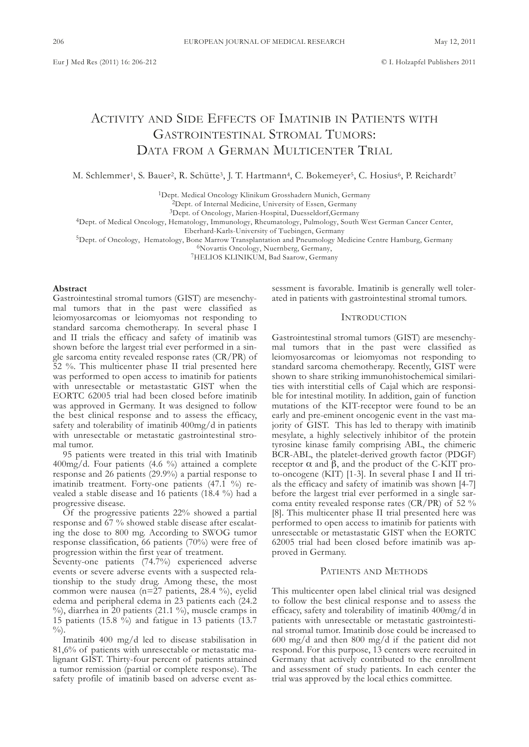# ACTIVITY AND SIDE EFFECTS OF IMATINIB IN PATIENTS WITH GASTROINTESTINAL STROMAL TUMORS: DATA FROM A GERMAN MULTICENTER TRIAL

M. Schlemmer<sup>1</sup>, S. Bauer<sup>2</sup>, R. Schütte<sup>3</sup>, J. T. Hartmann<sup>4</sup>, C. Bokemeyer<sup>5</sup>, C. Hosius<sup>6</sup>, P. Reichardt<sup>7</sup>

<sup>1</sup>Dept. Medical Oncology Klinikum Grosshadern Munich, Germany

<sup>2</sup>Dept. of Internal Medicine, University of Essen, Germany

<sup>3</sup>Dept. of Oncology, Marien-Hospital, Duesseldorf,Germany

4dept. of Medical oncology, Hematology, Immunology, Rheumatology, Pulmology, South west German cancer center,

Eberhard-Karls-University of Tuebingen, Germany

<sup>5</sup>Dept. of Oncology, Hematology, Bone Marrow Transplantation and Pneumology Medicine Centre Hamburg, Germany

<sup>6</sup>Novartis Oncology, Nuernberg, Germany,

<sup>7</sup>HELIOS KLINIKUM, Bad Saarow, Germany

#### **Abstract**

Gastrointestinal stromal tumors (GIST) are mesenchymal tumors that in the past were classified as leiomyosarcomas or leiomyomas not responding to standard sarcoma chemotherapy. In several phase I and II trials the efficacy and safety of imatinib was shown before the largest trial ever performed in a single sarcoma entity revealed response rates (cR/PR) of 52 %. this multicenter phase II trial presented here was performed to open access to imatinib for patients with unresectable or metastastatic GIST when the EORTC 62005 trial had been closed before imatinib was approved in Germany. It was designed to follow the best clinical response and to assess the efficacy, safety and tolerability of imatinib 400mg/d in patients with unresectable or metastatic gastrointestinal stromal tumor.

95 patients were treated in this trial with Imatinib 400mg/d. four patients (4.6 %) attained a complete response and 26 patients (29.9%) a partial response to imatinib treatment. Forty-one patients (47.1 %) revealed a stable disease and 16 patients (18.4 %) had a progressive disease.

 $\overline{O}$ f the progressive patients 22% showed a partial response and 67 % showed stable disease after escalating the dose to 800 mg. According to SwoG tumor response classification, 66 patients (70%) were free of progression within the first year of treatment.

Seventy-one patients (74.7%) experienced adverse events or severe adverse events with a suspected relationship to the study drug. Among these, the most common were nausea (n=27 patients, 28.4 %), eyelid edema and peripheral edema in 23 patients each (24.2 %), diarrhea in 20 patients (21.1 %), muscle cramps in 15 patients (15.8 %) and fatigue in 13 patients (13.7  $\frac{0}{0}$ 

Imatinib 400 mg/d led to disease stabilisation in 81,6% of patients with unresectable or metastatic malignant GIST. Thirty-four percent of patients attained a tumor remission (partial or complete response). The safety profile of imatinib based on adverse event assessment is favorable. Imatinib is generally well tolerated in patients with gastrointestinal stromal tumors.

# **INTRODUCTION**

Gastrointestinal stromal tumors (GIST) are mesenchymal tumors that in the past were classified as leiomyosarcomas or leiomyomas not responding to standard sarcoma chemotherapy. Recently, GIST were shown to share striking immunohistochemical similarities with interstitial cells of cajal which are responsible for intestinal motility. In addition, gain of function mutations of the KIT-receptor were found to be an early and pre-eminent oncogenic event in the vast majority of GIST. This has led to therapy with imatinib mesylate, a highly selectively inhibitor of the protein tyrosine kinase family comprising Abl, the chimeric BCR-ABL, the platelet-derived growth factor (PDGF) receptor  $\alpha$  and  $\beta$ , and the product of the C-KIT proto-oncogene (KIt) [1-3]. In several phase I and II trials the efficacy and safety of imatinib was shown [4-7] before the largest trial ever performed in a single sarcoma entity revealed response rates (cR/PR) of 52 % [8]. This multicenter phase II trial presented here was performed to open access to imatinib for patients with unresectable or metastastatic GIST when the EORTC 62005 trial had been closed before imatinib was approved in Germany.

### PATIENTS AND METHODS

This multicenter open label clinical trial was designed to follow the best clinical response and to assess the efficacy, safety and tolerability of imatinib 400mg/d in patients with unresectable or metastatic gastrointestinal stromal tumor. Imatinib dose could be increased to 600 mg/d and then 800 mg/d if the patient did not respond. for this purpose, 13 centers were recruited in Germany that actively contributed to the enrollment and assessment of study patients. In each center the trial was approved by the local ethics committee.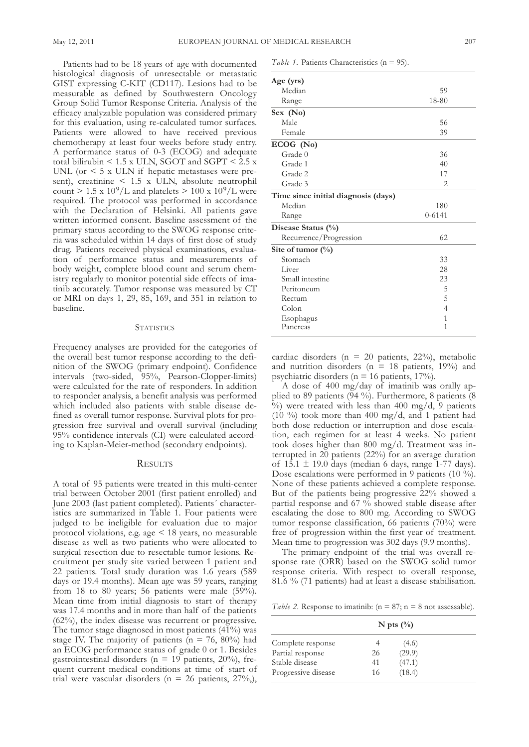Patients had to be 18 years of age with documented histological diagnosis of unresectable or metastatic GIST expressing C-KIT (CD117). Lesions had to be measurable as defined by Southwestern Oncology Group Solid Tumor Response Criteria. Analysis of the efficacy analyzable population was considered primary for this evaluation, using re-calculated tumor surfaces. Patients were allowed to have received previous chemotherapy at least four weeks before study entry. A performance status of 0-3 (EcoG) and adequate total bilirubin  $\leq 1.5$  x ULN, SGOT and SGPT  $\leq 2.5$  x UNL (or  $\leq 5$  x ULN if hepatic metastases were present), creatinine  $\leq 1.5$  x ULN, absolute neutrophil count  $> 1.5 \times 10^9$ /L and platelets  $> 100 \times 10^9$ /L were required. the protocol was performed in accordance with the Declaration of Helsinki. All patients gave written informed consent. Baseline assessment of the primary status according to the SwoG response criteria was scheduled within 14 days of first dose of study drug. Patients received physical examinations, evaluation of performance status and measurements of body weight, complete blood count and serum chemistry regularly to monitor potential side effects of imatinib accurately. Tumor response was measured by CT or MRI on days 1, 29, 85, 169, and 351 in relation to baseline.

#### **STATISTICS**

frequency analyses are provided for the categories of the overall best tumor response according to the definition of the SwoG (primary endpoint). confidence intervals (two-sided, 95%, Pearson-clopper-limits) were calculated for the rate of responders. In addition to responder analysis, a benefit analysis was performed which included also patients with stable disease defined as overall tumor response. Survival plots for progression free survival and overall survival (including 95% confidence intervals (cI) were calculated according to Kaplan-Meier-method (secondary endpoints).

# **RESULTS**

A total of 95 patients were treated in this multi-center trial between October 2001 (first patient enrolled) and June 2003 (last patient completed). Patients´ characteristics are summarized in Table 1. Four patients were judged to be ineligible for evaluation due to major protocol violations, e.g. age < 18 years, no measurable disease as well as two patients who were allocated to surgical resection due to resectable tumor lesions. Recruitment per study site varied between 1 patient and 22 patients. Total study duration was 1.6 years (589) days or 19.4 months). Mean age was 59 years, ranging from 18 to 80 years; 56 patients were male (59%). Mean time from initial diagnosis to start of therapy was 17.4 months and in more than half of the patients (62%), the index disease was recurrent or progressive. The tumor stage diagnosed in most patients  $(41%)$  was stage IV. The majority of patients ( $n = 76$ , 80%) had an EcoG performance status of grade 0 or 1. besides gastrointestinal disorders ( $n = 19$  patients, 20%), frequent current medical conditions at time of start of trial were vascular disorders ( $n = 26$  patients,  $27\%,$ ),

*Table 1.* Patients Characteristics (n = 95).

| Age (yrs)                           |            |  |
|-------------------------------------|------------|--|
| Median                              | 59         |  |
| Range                               | 18-80      |  |
| Sex (No)                            |            |  |
| Male                                | 56         |  |
| Female                              | 39         |  |
| ECOG (No)                           |            |  |
| Grade 0                             | 36         |  |
| Grade 1                             | 40         |  |
| Grade 2                             | 17         |  |
| Grade 3                             | 2          |  |
| Time since initial diagnosis (days) |            |  |
| Median                              | 180        |  |
| Range                               | $0 - 6141$ |  |
| Disease Status (%)                  |            |  |
| Recurrence/Progression              | 62         |  |
| Site of tumor $(\%)$                |            |  |
| Stomach                             | 33         |  |
| Liver                               | 28         |  |
| Small intestine                     | 23         |  |
| Peritoneum                          | 5          |  |
| Rectum                              | 5          |  |
| Colon                               | 4          |  |
| Esophagus                           | 1          |  |
| Pancreas                            | 1          |  |

cardiac disorders (n = 20 patients, 22%), metabolic and nutrition disorders ( $n = 18$  patients, 19%) and psychiatric disorders (n = 16 patients, 17%).

A dose of 400 mg/day of imatinib was orally applied to 89 patients  $(94 \%)$ . Furthermore, 8 patients  $(8$  $\%$ ) were treated with less than 400 mg/d, 9 patients (10 %) took more than 400 mg/d, and 1 patient had both dose reduction or interruption and dose escalation, each regimen for at least 4 weeks. No patient took doses higher than  $800 \text{ mg/d}$ . Treatment was interrupted in  $20$  patients (22%) for an average duration of 15.1  $\pm$  19.0 days (median 6 days, range 1-77 days). Dose escalations were performed in 9 patients (10 %). None of these patients achieved a complete response. but of the patients being progressive 22% showed a partial response and 67 % showed stable disease after escalating the dose to 800 mg. According to SwoG tumor response classification, 66 patients (70%) were free of progression within the first year of treatment. Mean time to progression was 302 days (9.9 months).

The primary endpoint of the trial was overall response rate (oRR) based on the SwoG solid tumor response criteria. with respect to overall response, 81.6 % (71 patients) had at least a disease stabilisation.

*Table* 2. Response to imatinib:  $(n = 87; n = 8 \text{ not assessable}).$ 

|                     |    | N pts $\left(\frac{0}{0}\right)$ |  |
|---------------------|----|----------------------------------|--|
| Complete response   |    | (4.6)                            |  |
| Partial response    | 26 | (29.9)                           |  |
| Stable disease      | 41 | (47.1)                           |  |
| Progressive disease | 16 | (18.4)                           |  |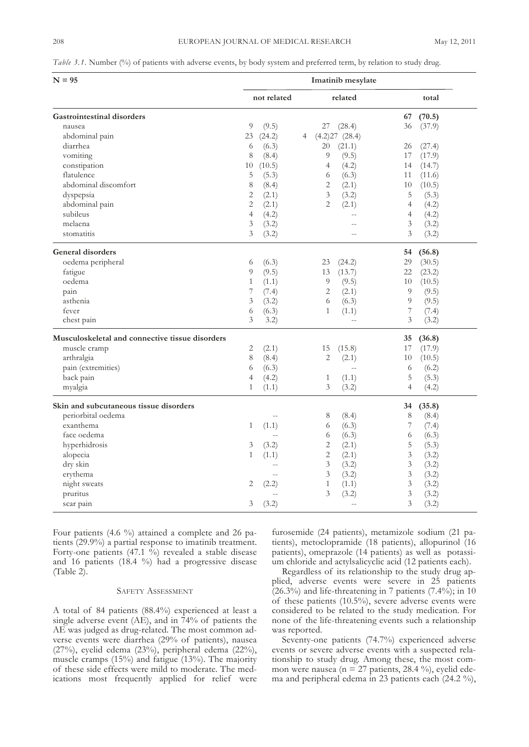*Table* 3.1. Number (%) of patients with adverse events, by body system and preferred term, by relation to study drug.

| $N = 95$                                        | Imatinib mesylate |                          |   |                |               |                |        |
|-------------------------------------------------|-------------------|--------------------------|---|----------------|---------------|----------------|--------|
|                                                 |                   | not related              |   |                | related       |                | total  |
| <b>Gastrointestinal disorders</b>               |                   |                          |   |                |               | 67             | (70.5) |
| nausea                                          | 9                 | (9.5)                    |   | 27             | (28.4)        | 36             | (37.9) |
| abdominal pain                                  | 23                | (24.2)                   | 4 |                | (4.2)27(28.4) |                |        |
| diarrhea                                        | 6                 | (6.3)                    |   | 20             | (21.1)        | 26             | (27.4) |
| vomiting                                        | 8                 | (8.4)                    |   | 9              | (9.5)         | 17             | (17.9) |
| constipation                                    | 10                | (10.5)                   |   | $\overline{4}$ | (4.2)         | 14             | (14.7) |
| flatulence                                      | 5                 | (5.3)                    |   | 6              | (6.3)         | 11             | (11.6) |
| abdominal discomfort                            | 8                 | (8.4)                    |   | $\sqrt{2}$     | (2.1)         | 10             | (10.5) |
| dyspepsia                                       | $\mathbf{2}$      | (2.1)                    |   | $\mathfrak{Z}$ | (3.2)         | 5              | (5.3)  |
| abdominal pain                                  | $\mathbf{2}$      | (2.1)                    |   | $\overline{2}$ | (2.1)         | $\overline{4}$ | (4.2)  |
| subileus                                        | $\overline{4}$    | (4.2)                    |   |                | $-$           | $\overline{4}$ | (4.2)  |
| melaena                                         | 3                 | (3.2)                    |   |                | $-$           | 3              | (3.2)  |
| stomatitis                                      | 3                 | (3.2)                    |   |                | $-$           | 3              | (3.2)  |
|                                                 |                   |                          |   |                |               |                |        |
| <b>General disorders</b>                        |                   |                          |   |                |               | 54             | (56.8) |
| oedema peripheral                               | 6                 | (6.3)                    |   | 23             | (24.2)        | 29             | (30.5) |
| fatigue                                         | 9                 | (9.5)                    |   | 13             | (13.7)        | 22             | (23.2) |
| oedema                                          | $\mathbf{1}$      | (1.1)                    |   | 9              | (9.5)         | 10             | (10.5) |
| pain                                            | 7                 | (7.4)                    |   | $\overline{2}$ | (2.1)         | 9              | (9.5)  |
| asthenia                                        | 3                 | (3.2)                    |   | 6              | (6.3)         | 9              | (9.5)  |
| fever                                           | 6                 | (6.3)                    |   | $\mathbf{1}$   | (1.1)         | 7              | (7.4)  |
| chest pain                                      | 3                 | 3.2)                     |   |                | $-$           | 3              | (3.2)  |
| Musculoskeletal and connective tissue disorders |                   |                          |   |                |               | 35             | (36.8) |
| muscle cramp                                    | 2                 | (2.1)                    |   | 15             | (15.8)        | 17             | (17.9) |
| arthralgia                                      | 8                 | (8.4)                    |   | $\mathbf{2}$   | (2.1)         | 10             | (10.5) |
| pain (extremities)                              | 6                 | (6.3)                    |   |                | $-$           | 6              | (6.2)  |
| back pain                                       | $\overline{4}$    | (4.2)                    |   | $\mathbf{1}$   | (1.1)         | 5              | (5.3)  |
| myalgia                                         | 1                 | (1.1)                    |   | 3              | (3.2)         | 4              | (4.2)  |
| Skin and subcutaneous tissue disorders          |                   |                          |   |                |               | 34             | (35.8) |
| periorbital oedema                              |                   | $\overline{\phantom{a}}$ |   | 8              | (8.4)         | 8              | (8.4)  |
| exanthema                                       | 1                 | (1.1)                    |   | 6              | (6.3)         | 7              | (7.4)  |
| face oedema                                     |                   |                          |   | 6              | (6.3)         | 6              | (6.3)  |
| hyperhidrosis                                   | 3                 | (3.2)                    |   | $\overline{c}$ | (2.1)         | 5              | (5.3)  |
| alopecia                                        | $\mathbf{1}$      | (1.1)                    |   | $\mathbf{2}$   | (2.1)         | $\mathfrak{Z}$ | (3.2)  |
| dry skin                                        |                   | $-$                      |   | $\mathfrak{Z}$ | (3.2)         | 3              | (3.2)  |
| erythema                                        |                   | $-$                      |   | $\mathfrak{Z}$ | (3.2)         | $\mathfrak{Z}$ | (3.2)  |
| night sweats                                    | 2                 | (2.2)                    |   | $\mathbf{1}$   | (1.1)         | 3              | (3.2)  |
| pruritus                                        |                   |                          |   | 3              | (3.2)         | 3              | (3.2)  |
| scar pain                                       | 3                 | (3.2)                    |   |                |               | 3              | (3.2)  |
|                                                 |                   |                          |   |                |               |                |        |

four patients (4.6 %) attained a complete and 26 patients (29.9%) a partial response to imatinib treatment. Forty-one patients  $(47.1 \t{b})$  revealed a stable disease and 16 patients (18.4 %) had a progressive disease  $(Table 2).$ 

# SAFETY ASSESSMENT

A total of 84 patients (88.4%) experienced at least a single adverse event (AE), and in 74% of patients the AE was judged as drug-related. The most common adverse events were diarrhea (29% of patients), nausea (27%), eyelid edema (23%), peripheral edema (22%), muscle cramps  $(15%)$  and fatigue  $(13%)$ . The majority of these side effects were mild to moderate. The medications most frequently applied for relief were furosemide (24 patients), metamizole sodium (21 patients), metoclopramide (18 patients), allopurinol (16 patients), omeprazole (14 patients) as well as potassium chloride and actylsalicyclic acid (12 patients each).

Regardless of its relationship to the study drug applied, adverse events were severe in 25 patients (26.3%) and life-threatening in 7 patients (7.4%); in 10 of these patients (10.5%), severe adverse events were considered to be related to the study medication. for none of the life-threatening events such a relationship was reported.

Seventy-one patients (74.7%) experienced adverse events or severe adverse events with a suspected relationship to study drug. Among these, the most common were nausea ( $n = 27$  patients, 28.4 %), eyelid edema and peripheral edema in 23 patients each (24.2 %),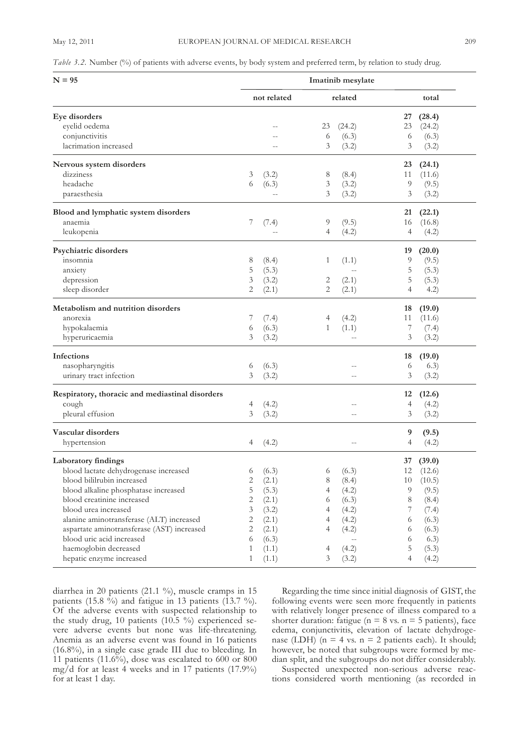| $N = 95$                                        | Imatinib mesylate |                   |    |                          |    |           |  |
|-------------------------------------------------|-------------------|-------------------|----|--------------------------|----|-----------|--|
|                                                 |                   | not related       |    | related                  |    | total     |  |
| Eye disorders                                   |                   |                   |    |                          | 27 | (28.4)    |  |
| eyelid oedema                                   |                   |                   | 23 | (24.2)                   | 23 | (24.2)    |  |
| conjunctivitis                                  |                   | $-$               | 6  | (6.3)                    | 6  | (6.3)     |  |
| lacrimation increased                           |                   |                   | 3  | (3.2)                    | 3  | (3.2)     |  |
| Nervous system disorders                        |                   |                   |    |                          | 23 | (24.1)    |  |
| dizziness                                       | 3                 | (3.2)             | 8  | (8.4)                    | 11 | (11.6)    |  |
| headache                                        | 6                 | (6.3)             | 3  | (3.2)                    | 9  | (9.5)     |  |
| paraesthesia                                    |                   | $\qquad \qquad -$ | 3  | (3.2)                    | 3  | (3.2)     |  |
| Blood and lymphatic system disorders            |                   |                   |    |                          | 21 | (22.1)    |  |
| anaemia                                         | 7                 | (7.4)             | 9  | (9.5)                    | 16 | (16.8)    |  |
| leukopenia                                      |                   | $-$               | 4  | (4.2)                    | 4  | (4.2)     |  |
| Psychiatric disorders                           |                   |                   |    |                          | 19 | (20.0)    |  |
| insomnia                                        | 8                 | (8.4)             | 1  | (1.1)                    | 9  | (9.5)     |  |
| anxiety                                         | 5                 | (5.3)             |    | $-$                      | 5  | (5.3)     |  |
| depression                                      | 3                 | (3.2)             | 2  | (2.1)                    | 5  | (5.3)     |  |
| sleep disorder                                  | $\overline{2}$    | (2.1)             | 2  | (2.1)                    | 4  | (4.2)     |  |
| Metabolism and nutrition disorders              |                   |                   |    |                          | 18 | (19.0)    |  |
| anorexia                                        | 7                 | (7.4)             | 4  | (4.2)                    | 11 | (11.6)    |  |
| hypokalaemia                                    | 6                 | (6.3)             | 1  | (1.1)                    | 7  | (7.4)     |  |
| hyperuricaemia                                  | 3                 | (3.2)             |    | $-$                      | 3  | (3.2)     |  |
| <b>Infections</b>                               |                   |                   |    |                          | 18 | (19.0)    |  |
| nasopharyngitis                                 | 6                 | (6.3)             |    | $-$                      | 6  | (6.3)     |  |
| urinary tract infection                         | 3                 | (3.2)             |    | $-$                      | 3  | (3.2)     |  |
| Respiratory, thoracic and mediastinal disorders |                   |                   |    |                          | 12 | (12.6)    |  |
| cough                                           | 4                 | (4.2)             |    |                          | 4  | (4.2)     |  |
| pleural effusion                                | 3                 | (3.2)             |    | $-$                      | 3  | (3.2)     |  |
| Vascular disorders                              |                   |                   |    |                          | 9  | (9.5)     |  |
| hypertension                                    | 4                 | (4.2)             |    | $-$                      | 4  | (4.2)     |  |
| Laboratory findings                             |                   |                   |    |                          | 37 | (39.0)    |  |
| blood lactate dehydrogenase increased           |                   | 6 (6.3)           |    | 6 (6.3)                  |    | 12 (12.6) |  |
| blood bililrubin increased                      | 2                 | (2.1)             | 8  | (8.4)                    | 10 | (10.5)    |  |
| blood alkaline phosphatase increased            | 5                 | (5.3)             | 4  | (4.2)                    | 9  | (9.5)     |  |
| blood creatinine increased                      | $\mathbf{2}$      | (2.1)             | 6  | (6.3)                    | 8  | (8.4)     |  |
| blood urea increased                            | 3                 | (3.2)             | 4  | (4.2)                    | 7  | (7.4)     |  |
| alanine aminotransferase (ALT) increased        | 2                 | (2.1)             | 4  | (4.2)                    | 6  | (6.3)     |  |
| aspartate aminotransferase (AST) increased      | 2                 | (2.1)             | 4  | (4.2)                    | 6  | (6.3)     |  |
| blood uric acid increased                       | 6                 | (6.3)             |    | $\overline{\phantom{a}}$ | 6  | (6.3)     |  |
| haemoglobin decreased                           | 1                 | (1.1)             | 4  | (4.2)                    | 5  | (5.3)     |  |
| hepatic enzyme increased                        | 1                 | (1.1)             | 3  | (3.2)                    | 4  | (4.2)     |  |

diarrhea in 20 patients (21.1 %), muscle cramps in 15 patients (15.8  $\frac{6}{9}$ ) and fatigue in 13 patients (13.7 %). of the adverse events with suspected relationship to the study drug, 10 patients (10.5 %) experienced severe adverse events but none was life-threatening. Anemia as an adverse event was found in 16 patients (16.8%), in a single case grade III due to bleeding. In 11 patients (11.6%), dose was escalated to 600 or 800 mg/d for at least 4 weeks and in 17 patients (17.9%) for at least 1 day.

Regarding the time since initial diagnosis of GISt, the following events were seen more frequently in patients with relatively longer presence of illness compared to a shorter duration: fatigue ( $n = 8$  vs.  $n = 5$  patients), face edema, conjunctivitis, elevation of lactate dehydrogenase (LDH) (n = 4 vs. n = 2 patients each). It should; however, be noted that subgroups were formed by median split, and the subgroups do not differ considerably.

Suspected unexpected non-serious adverse reactions considered worth mentioning (as recorded in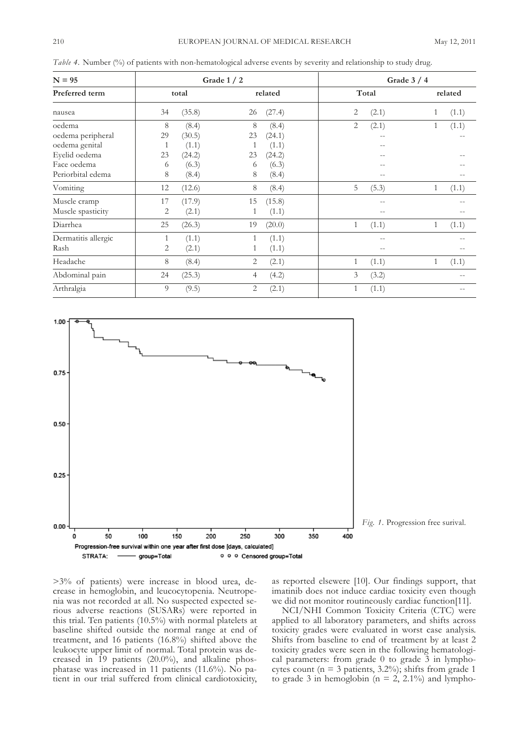| $N = 95$                 |       |        | Grade $1/2$    |        | Grade $3/4$  |       |              |       |  |
|--------------------------|-------|--------|----------------|--------|--------------|-------|--------------|-------|--|
| Preferred term<br>nausea | total |        | related        |        | Total        |       | related      |       |  |
|                          | 34    | (35.8) | 26             | (27.4) | 2            | (2.1) |              | (1.1) |  |
| oedema                   | 8     | (8.4)  | 8              | (8.4)  | 2            | (2.1) | 1            | (1.1) |  |
| oedema peripheral        | 29    | (30.5) | 23             | (24.1) |              |       |              |       |  |
| oedema genital           | 1     | (1.1)  |                | (1.1)  |              | $ -$  |              |       |  |
| Eyelid oedema            | 23    | (24.2) | 23             | (24.2) |              | --    |              |       |  |
| Face oedema              | 6     | (6.3)  | 6              | (6.3)  |              |       |              |       |  |
| Periorbital edema        | 8     | (8.4)  | 8              | (8.4)  |              | $- -$ |              |       |  |
| Vomiting                 | 12    | (12.6) | 8              | (8.4)  | 5            | (5.3) | 1            | (1.1) |  |
| Muscle cramp             | 17    | (17.9) | 15             | (15.8) |              |       |              |       |  |
| Muscle spasticity        | 2     | (2.1)  |                | (1.1)  |              | $- -$ |              |       |  |
| Diarrhea                 | 25    | (26.3) | 19             | (20.0) | $\mathbf{1}$ | (1.1) | $\mathbf{1}$ | (1.1) |  |
| Dermatitis allergic      | 1     | (1.1)  |                | (1.1)  |              | --    |              |       |  |
| Rash                     | 2     | (2.1)  |                | (1.1)  |              | $- -$ |              |       |  |
| Headache                 | 8     | (8.4)  | 2              | (2.1)  | $\mathbf{1}$ | (1.1) | $\mathbf{1}$ | (1.1) |  |
| Abdominal pain           | 24    | (25.3) | 4              | (4.2)  | 3            | (3.2) |              | --    |  |
| Arthralgia               | 9     | (9.5)  | $\overline{c}$ | (2.1)  | $\mathbf{1}$ | (1.1) |              |       |  |

*Table* 4. Number (%) of patients with non-hematological adverse events by severity and relationship to study drug.



*Fig. 1.* Progression free surival.

>3% of patients) were increase in blood urea, decrease in hemoglobin, and leucocytopenia. Neutropenia was not recorded at all. No suspected expected serious adverse reactions (SuSARs) were reported in this trial. Ten patients  $(10.5\%)$  with normal platelets at baseline shifted outside the normal range at end of treatment, and 16 patients (16.8%) shifted above the leukocyte upper limit of normal. Total protein was decreased in 19 patients (20.0%), and alkaline phosphatase was increased in 11 patients  $(11.6\%)$ . No patient in our trial suffered from clinical cardiotoxicity, as reported elsewere [10]. Our findings support, that imatinib does not induce cardiac toxicity even though we did not monitor routineously cardiac function[11].

NCI/NHI Common Toxicity Criteria (CTC) were applied to all laboratory parameters, and shifts across toxicity grades were evaluated in worst case analysis. Shifts from baseline to end of treatment by at least 2 toxicity grades were seen in the following hematological parameters: from grade 0 to grade 3 in lymphocytes count ( $n = 3$  patients, 3.2%); shifts from grade 1 to grade 3 in hemoglobin ( $n = 2$ , 2.1%) and lympho-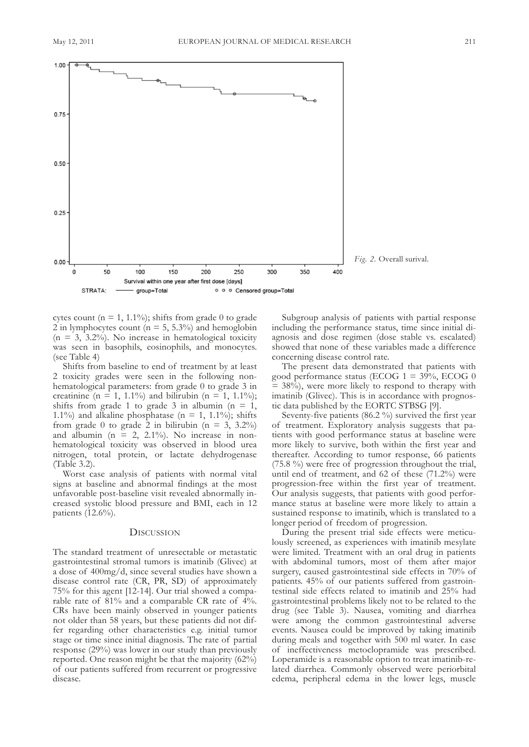

cytes count ( $n = 1, 1.1\%$ ); shifts from grade 0 to grade 2 in lymphocytes count ( $n = 5$ , 5.3%) and hemoglobin  $(n = 3, 3.2\%)$ . No increase in hematological toxicity was seen in basophils, eosinophils, and monocytes. (see Table 4)

Shifts from baseline to end of treatment by at least 2 toxicity grades were seen in the following nonhematological parameters: from grade 0 to grade 3 in creatinine (n = 1, 1.1%) and bilirubin (n = 1, 1.1%); shifts from grade 1 to grade 3 in albumin ( $n = 1$ , 1.1%) and alkaline phosphatase ( $n = 1$ , 1.1%); shifts from grade 0 to grade 2 in bilirubin ( $n = 3$ , 3.2%) and albumin ( $n = 2$ , 2.1%). No increase in nonhematological toxicity was observed in blood urea nitrogen, total protein, or lactate dehydrogenase  $(Table 3.2)$ .

worst case analysis of patients with normal vital signs at baseline and abnormal findings at the most unfavorable post-baseline visit revealed abnormally increased systolic blood pressure and bMI, each in 12 patients (12.6%).

# **DISCUSSION**

The standard treatment of unresectable or metastatic gastrointestinal stromal tumors is imatinib (Glivec) at a dose of 400mg/d, since several studies have shown a disease control rate (CR, PR, SD) of approximately 75% for this agent [12-14]. Our trial showed a comparable rate of 81% and a comparable cR rate of 4%. cRs have been mainly observed in younger patients not older than 58 years, but these patients did not differ regarding other characteristics e.g. initial tumor stage or time since initial diagnosis. The rate of partial response (29%) was lower in our study than previously reported. One reason might be that the majority  $(62\%)$ of our patients suffered from recurrent or progressive disease.

Subgroup analysis of patients with partial response including the performance status, time since initial diagnosis and dose regimen (dose stable vs. escalated) showed that none of these variables made a difference concerning disease control rate.

The present data demonstrated that patients with good performance status (EcoG 1 = 39%, EcoG 0  $= 38\%$ ), were more likely to respond to therapy with imatinib (Glivec). This is in accordance with prognostic data published by the EORTC STBSG [9].

Seventy-five patients (86.2 %) survived the first year of treatment. Exploratory analysis suggests that patients with good performance status at baseline were more likely to survive, both within the first year and thereafter. According to tumor response, 66 patients (75.8 %) were free of progression throughout the trial, until end of treatment, and 62 of these (71.2%) were progression-free within the first year of treatment. Our analysis suggests, that patients with good performance status at baseline were more likely to attain a sustained response to imatinib, which is translated to a longer period of freedom of progression.

During the present trial side effects were meticulously screened, as experiences with imatinib mesylate were limited. Treatment with an oral drug in patients with abdominal tumors, most of them after major surgery, caused gastrointestinal side effects in 70% of patients. 45% of our patients suffered from gastrointestinal side effects related to imatinib and 25% had gastrointestinal problems likely not to be related to the drug (see Table 3). Nausea, vomiting and diarrhea were among the common gastrointestinal adverse events. Nausea could be improved by taking imatinib during meals and together with 500 ml water. In case of ineffectiveness metoclopramide was prescribed. loperamide is a reasonable option to treat imatinib-related diarrhea. commonly observed were periorbital edema, peripheral edema in the lower legs, muscle